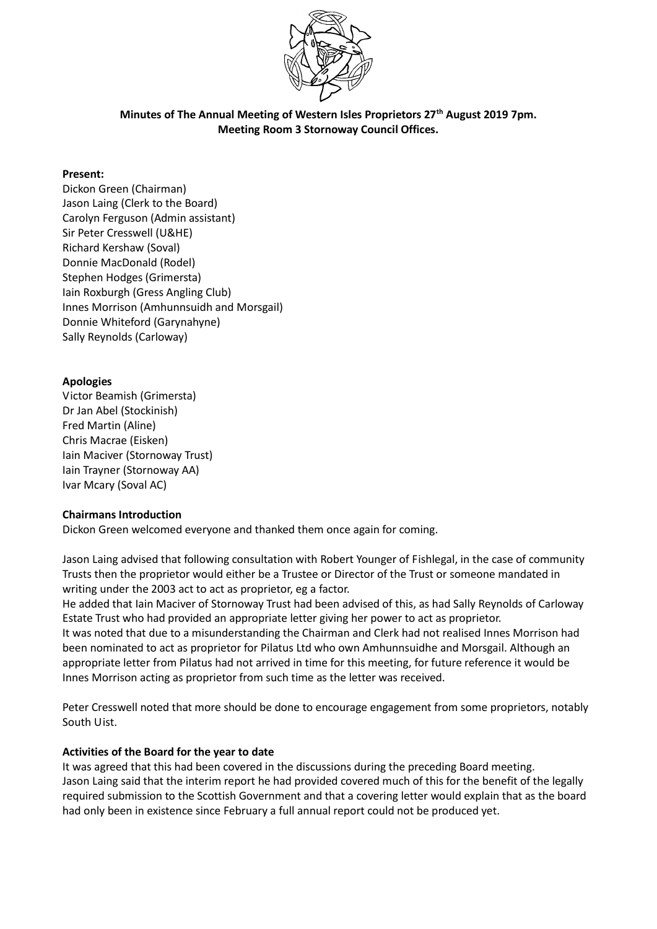

**Minutes of The Annual Meeting of Western Isles Proprietors 27th August 2019 7pm. Meeting Room 3 Stornoway Council Offices.**

# **Present:**

Dickon Green (Chairman) Jason Laing (Clerk to the Board) Carolyn Ferguson (Admin assistant) Sir Peter Cresswell (U&HE) Richard Kershaw (Soval) Donnie MacDonald (Rodel) Stephen Hodges (Grimersta) Iain Roxburgh (Gress Angling Club) Innes Morrison (Amhunnsuidh and Morsgail) Donnie Whiteford (Garynahyne) Sally Reynolds (Carloway)

# **Apologies**

Victor Beamish (Grimersta) Dr Jan Abel (Stockinish) Fred Martin (Aline) Chris Macrae (Eisken) Iain Maciver (Stornoway Trust) Iain Trayner (Stornoway AA) Ivar Mcary (Soval AC)

### **Chairmans Introduction**

Dickon Green welcomed everyone and thanked them once again for coming.

Jason Laing advised that following consultation with Robert Younger of Fishlegal, in the case of community Trusts then the proprietor would either be a Trustee or Director of the Trust or someone mandated in writing under the 2003 act to act as proprietor, eg a factor.

He added that Iain Maciver of Stornoway Trust had been advised of this, as had Sally Reynolds of Carloway Estate Trust who had provided an appropriate letter giving her power to act as proprietor.

It was noted that due to a misunderstanding the Chairman and Clerk had not realised Innes Morrison had been nominated to act as proprietor for Pilatus Ltd who own Amhunnsuidhe and Morsgail. Although an appropriate letter from Pilatus had not arrived in time for this meeting, for future reference it would be Innes Morrison acting as proprietor from such time as the letter was received.

Peter Cresswell noted that more should be done to encourage engagement from some proprietors, notably South Uist.

### **Activities of the Board for the year to date**

It was agreed that this had been covered in the discussions during the preceding Board meeting. Jason Laing said that the interim report he had provided covered much of this for the benefit of the legally required submission to the Scottish Government and that a covering letter would explain that as the board had only been in existence since February a full annual report could not be produced yet.